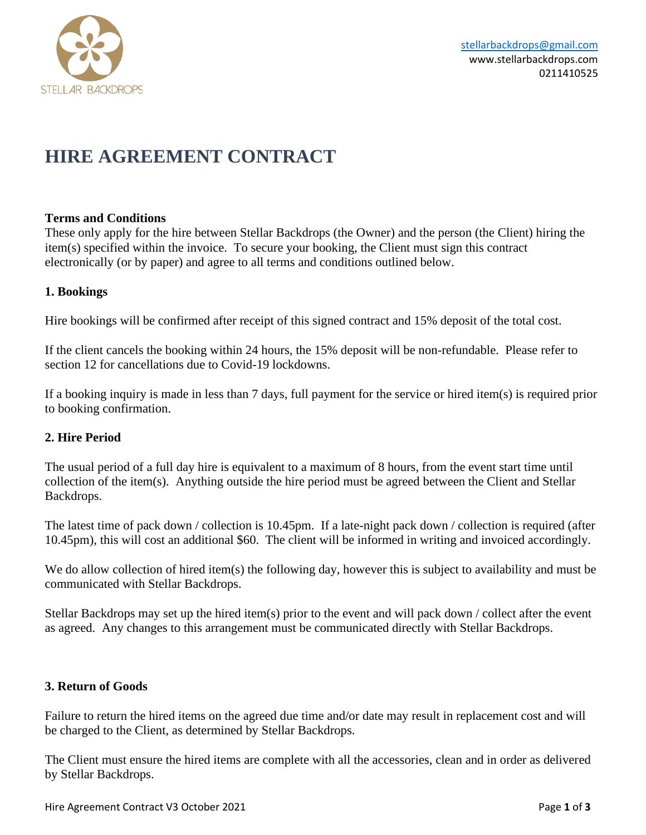

# **HIRE AGREEMENT CONTRACT**

## **Terms and Conditions**

These only apply for the hire between Stellar Backdrops (the Owner) and the person (the Client) hiring the item(s) specified within the invoice. To secure your booking, the Client must sign this contract electronically (or by paper) and agree to all terms and conditions outlined below.

## **1. Bookings**

Hire bookings will be confirmed after receipt of this signed contract and 15% deposit of the total cost.

If the client cancels the booking within 24 hours, the 15% deposit will be non-refundable. Please refer to section 12 for cancellations due to Covid-19 lockdowns.

If a booking inquiry is made in less than 7 days, full payment for the service or hired item(s) is required prior to booking confirmation.

## **2. Hire Period**

The usual period of a full day hire is equivalent to a maximum of 8 hours, from the event start time until collection of the item(s). Anything outside the hire period must be agreed between the Client and Stellar Backdrops.

The latest time of pack down / collection is 10.45pm. If a late-night pack down / collection is required (after 10.45pm), this will cost an additional \$60. The client will be informed in writing and invoiced accordingly.

We do allow collection of hired item(s) the following day, however this is subject to availability and must be communicated with Stellar Backdrops.

Stellar Backdrops may set up the hired item(s) prior to the event and will pack down / collect after the event as agreed. Any changes to this arrangement must be communicated directly with Stellar Backdrops.

## **3. Return of Goods**

Failure to return the hired items on the agreed due time and/or date may result in replacement cost and will be charged to the Client, as determined by Stellar Backdrops.

The Client must ensure the hired items are complete with all the accessories, clean and in order as delivered by Stellar Backdrops.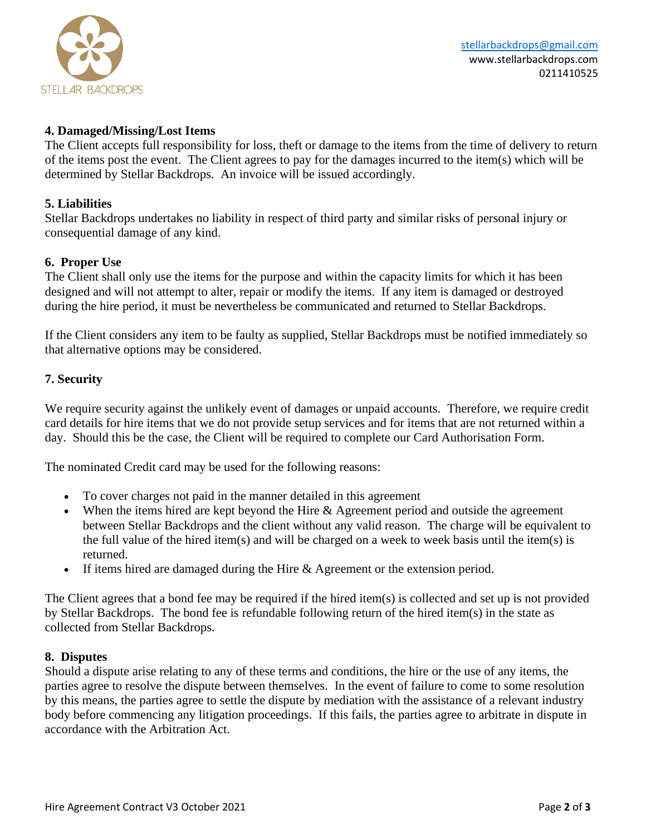

## **4. Damaged/Missing/Lost Items**

The Client accepts full responsibility for loss, theft or damage to the items from the time of delivery to return of the items post the event. The Client agrees to pay for the damages incurred to the item(s) which will be determined by Stellar Backdrops. An invoice will be issued accordingly.

### **5. Liabilities**

Stellar Backdrops undertakes no liability in respect of third party and similar risks of personal injury or consequential damage of any kind.

### **6. Proper Use**

The Client shall only use the items for the purpose and within the capacity limits for which it has been designed and will not attempt to alter, repair or modify the items. If any item is damaged or destroyed during the hire period, it must be nevertheless be communicated and returned to Stellar Backdrops.

If the Client considers any item to be faulty as supplied, Stellar Backdrops must be notified immediately so that alternative options may be considered.

### **7. Security**

We require security against the unlikely event of damages or unpaid accounts. Therefore, we require credit card details for hire items that we do not provide setup services and for items that are not returned within a day. Should this be the case, the Client will be required to complete our Card Authorisation Form.

The nominated Credit card may be used for the following reasons:

- To cover charges not paid in the manner detailed in this agreement
- When the items hired are kept beyond the Hire & Agreement period and outside the agreement between Stellar Backdrops and the client without any valid reason. The charge will be equivalent to the full value of the hired item(s) and will be charged on a week to week basis until the item(s) is returned.
- If items hired are damaged during the Hire & Agreement or the extension period.

The Client agrees that a bond fee may be required if the hired item(s) is collected and set up is not provided by Stellar Backdrops. The bond fee is refundable following return of the hired item(s) in the state as collected from Stellar Backdrops.

#### **8. Disputes**

Should a dispute arise relating to any of these terms and conditions, the hire or the use of any items, the parties agree to resolve the dispute between themselves. In the event of failure to come to some resolution by this means, the parties agree to settle the dispute by mediation with the assistance of a relevant industry body before commencing any litigation proceedings. If this fails, the parties agree to arbitrate in dispute in accordance with the Arbitration Act.